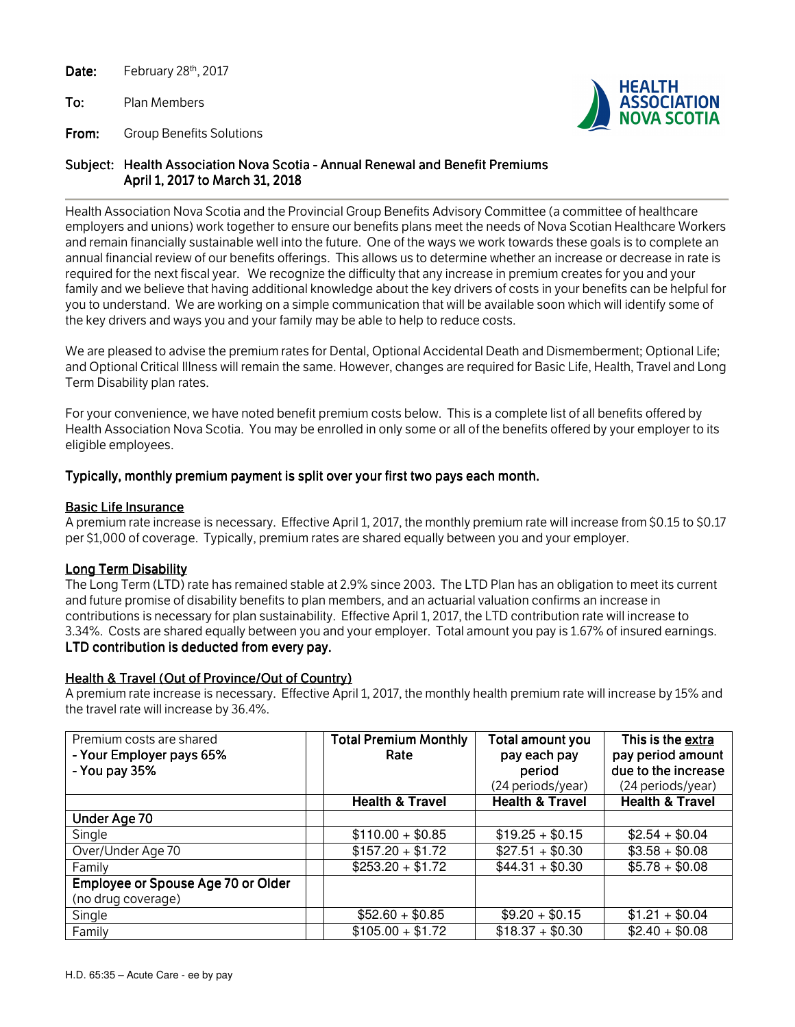Date: February 28<sup>th</sup>, 2017

To: Plan Members

From: Group Benefits Solutions



# Subject: Health Association Nova Scotia - Annual Renewal and Benefit Premiums April 1, 2017 to March 31, 2018

Health Association Nova Scotia and the Provincial Group Benefits Advisory Committee (a committee of healthcare employers and unions) work together to ensure our benefits plans meet the needs of Nova Scotian Healthcare Workers and remain financially sustainable well into the future. One of the ways we work towards these goals is to complete an annual financial review of our benefits offerings. This allows us to determine whether an increase or decrease in rate is required for the next fiscal year. We recognize the difficulty that any increase in premium creates for you and your family and we believe that having additional knowledge about the key drivers of costs in your benefits can be helpful for you to understand. We are working on a simple communication that will be available soon which will identify some of the key drivers and ways you and your family may be able to help to reduce costs.

We are pleased to advise the premium rates for Dental, Optional Accidental Death and Dismemberment; Optional Life; and Optional Critical Illness will remain the same. However, changes are required for Basic Life, Health, Travel and Long Term Disability plan rates.

For your convenience, we have noted benefit premium costs below. This is a complete list of all benefits offered by Health Association Nova Scotia. You may be enrolled in only some or all of the benefits offered by your employer to its eligible employees.

## Typically, monthly premium payment is split over your first two pays each month.

## **Basic Life Insurance**

A premium rate increase is necessary. Effective April 1, 2017, the monthly premium rate will increase from \$0.15 to \$0.17 per \$1,000 of coverage. Typically, premium rates are shared equally between you and your employer.

## Long Term Disability

The Long Term (LTD) rate has remained stable at 2.9% since 2003. The LTD Plan has an obligation to meet its current and future promise of disability benefits to plan members, and an actuarial valuation confirms an increase in contributions is necessary for plan sustainability. Effective April 1, 2017, the LTD contribution rate will increase to 3.34%. Costs are shared equally between you and your employer. Total amount you pay is 1.67% of insured earnings. LTD contribution is deducted from every pay.

# Health & Travel (Out of Province/Out of Country)

A premium rate increase is necessary. Effective April 1, 2017, the monthly health premium rate will increase by 15% and the travel rate will increase by 36.4%.

| Premium costs are shared           | <b>Total Premium Monthly</b> | Total amount you           | This is the extra          |
|------------------------------------|------------------------------|----------------------------|----------------------------|
| - Your Employer pays 65%           | Rate                         | pay each pay               | pay period amount          |
| - You pay 35%                      |                              | period                     | due to the increase        |
|                                    |                              | (24 periods/year)          | (24 periods/year)          |
|                                    | <b>Health &amp; Travel</b>   | <b>Health &amp; Travel</b> | <b>Health &amp; Travel</b> |
| Under Age 70                       |                              |                            |                            |
| Single                             | $$110.00 + $0.85$            | $$19.25 + $0.15$           | $$2.54 + $0.04$            |
| Over/Under Age 70                  | $$157.20 + $1.72$            | $$27.51 + $0.30$           | $$3.58 + $0.08$            |
| Family                             | $$253.20 + $1.72$            | $$44.31 + $0.30$           | $$5.78 + $0.08$            |
| Employee or Spouse Age 70 or Older |                              |                            |                            |
| (no drug coverage)                 |                              |                            |                            |
| Single                             | $$52.60 + $0.85$             | $$9.20 + $0.15$            | $$1.21 + $0.04$            |
| Family                             | $$105.00 + $1.72$            | $$18.37 + $0.30$           | $$2.40 + $0.08$            |